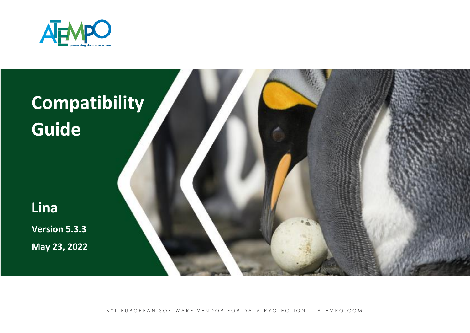



N°1 EUROPEAN SOFTWARE VENDOR FOR DATA PROTECTION ATEMPO.COM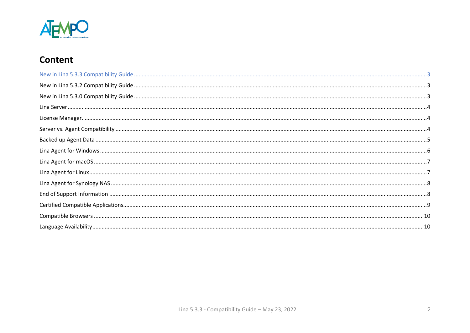

# **Content**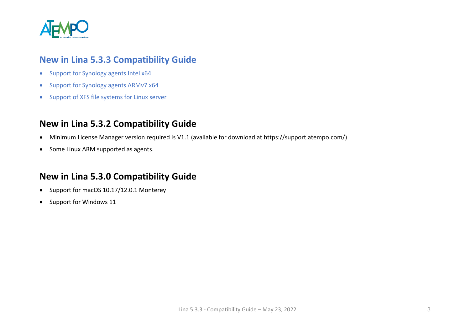

#### <span id="page-2-0"></span>**New in Lina 5.3.3 Compatibility Guide**

- Support for Synology agents Intel x64
- Support for Synology agents ARMv7 x64
- Support of XFS file systems for Linux server

## <span id="page-2-1"></span>**New in Lina 5.3.2 Compatibility Guide**

- Minimum License Manager version required is V1.1 (available for download at https://support.atempo.com/)
- Some Linux ARM supported as agents.

#### <span id="page-2-2"></span>**New in Lina 5.3.0 Compatibility Guide**

- Support for macOS 10.17/12.0.1 Monterey
- Support for Windows 11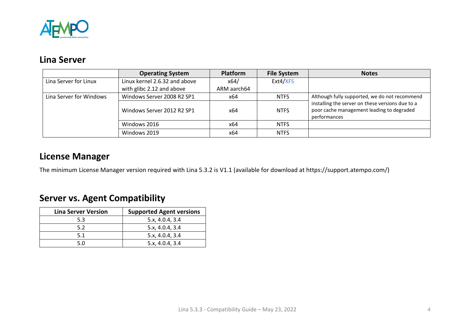

## <span id="page-3-0"></span>**Lina Server**

|                         | <b>Operating System</b>       | <b>Platform</b> | <b>File System</b> | <b>Notes</b>                                                                                                  |
|-------------------------|-------------------------------|-----------------|--------------------|---------------------------------------------------------------------------------------------------------------|
| Lina Server for Linux   | Linux kernel 2.6.32 and above | x64/            | Ext4/XFS           |                                                                                                               |
|                         | with glibc 2.12 and above     | ARM aarch64     |                    |                                                                                                               |
| Lina Server for Windows | Windows Server 2008 R2 SP1    | x64             | <b>NTFS</b>        | Although fully supported, we do not recommend                                                                 |
|                         | Windows Server 2012 R2 SP1    | x64             | <b>NTFS</b>        | installing the server on these versions due to a<br>poor cache management leading to degraded<br>performances |
|                         | Windows 2016                  | x64             | <b>NTFS</b>        |                                                                                                               |
|                         | Windows 2019                  | x64             | <b>NTFS</b>        |                                                                                                               |

## <span id="page-3-1"></span>**License Manager**

The minimum License Manager version required with Lina 5.3.2 is V1.1 (available for download at https://support.atempo.com/)

# <span id="page-3-2"></span>**Server vs. Agent Compatibility**

| <b>Lina Server Version</b> | <b>Supported Agent versions</b> |
|----------------------------|---------------------------------|
| 5.3                        | 5.x, 4.0.4, 3.4                 |
| 5.2                        | 5.x, 4.0.4, 3.4                 |
| 5.1                        | 5.x, 4.0.4, 3.4                 |
| 5.0                        | 5.x, 4.0.4, 3.4                 |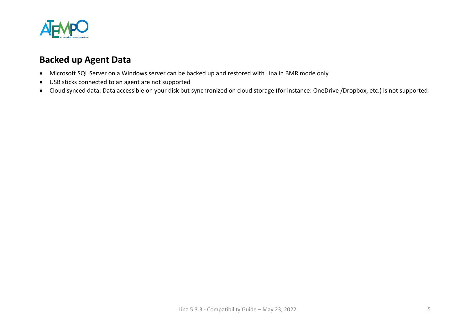

## <span id="page-4-0"></span>**Backed up Agent Data**

- Microsoft SQL Server on a Windows server can be backed up and restored with Lina in BMR mode only
- USB sticks connected to an agent are not supported
- Cloud synced data: Data accessible on your disk but synchronized on cloud storage (for instance: OneDrive /Dropbox, etc.) is not supported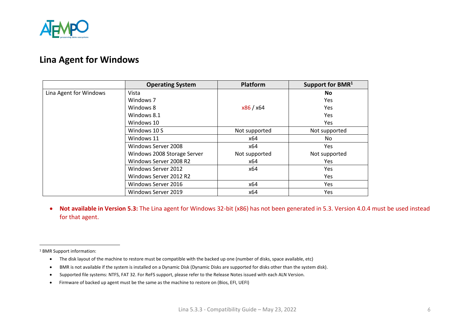

## <span id="page-5-0"></span>**Lina Agent for Windows**

|                        | <b>Operating System</b>     | <b>Platform</b> | Support for BMR <sup>1</sup> |
|------------------------|-----------------------------|-----------------|------------------------------|
| Lina Agent for Windows | Vista                       |                 | <b>No</b>                    |
|                        | Windows 7                   |                 | Yes.                         |
|                        | Windows 8                   | x86 / x64       | Yes                          |
|                        | Windows 8.1                 |                 | <b>Yes</b>                   |
|                        | Windows 10                  |                 | Yes                          |
|                        | Windows 10 S                | Not supported   | Not supported                |
|                        | Windows 11                  | x64             | No                           |
|                        | Windows Server 2008         | x64             | Yes.                         |
|                        | Windows 2008 Storage Server | Not supported   | Not supported                |
|                        | Windows Server 2008 R2      | x64             | <b>Yes</b>                   |
|                        | Windows Server 2012         | x64             | Yes                          |
|                        | Windows Server 2012 R2      |                 | Yes                          |
|                        | Windows Server 2016         | x64             | Yes                          |
|                        | Windows Server 2019         | x64             | Yes.                         |

• **Not available in Version 5.3:** The Lina agent for Windows 32-bit (x86) has not been generated in 5.3. Version 4.0.4 must be used instead for that agent.

<sup>1</sup> BMR Support information:

- The disk layout of the machine to restore must be compatible with the backed up one (number of disks, space available, etc)
- BMR is not available if the system is installed on a Dynamic Disk (Dynamic Disks are supported for disks other than the system disk).
- Supported file systems: NTFS, FAT 32. For ReFS support, please refer to the Release Notes issued with each ALN Version.
- Firmware of backed up agent must be the same as the machine to restore on (Bios, EFI, UEFI)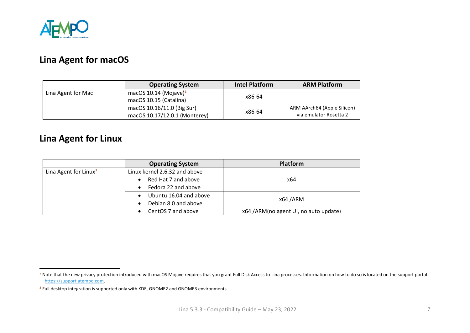

## <span id="page-6-0"></span>**Lina Agent for macOS**

|                    | <b>Operating System</b>           | <b>Intel Platform</b> | <b>ARM Platform</b>         |
|--------------------|-----------------------------------|-----------------------|-----------------------------|
| Lina Agent for Mac | macOS 10.14 (Mojave) <sup>2</sup> | x86-64                |                             |
|                    | macOS 10.15 (Catalina)            |                       |                             |
|                    | macOS 10.16/11.0 (Big Sur)        | x86-64                | ARM AArch64 (Apple Silicon) |
|                    | macOS 10.17/12.0.1 (Monterey)     |                       | via emulator Rosetta 2      |

## <span id="page-6-1"></span>**Lina Agent for Linux**

|                                   | <b>Operating System</b>       | <b>Platform</b>                       |
|-----------------------------------|-------------------------------|---------------------------------------|
| Lina Agent for Linux <sup>3</sup> | Linux kernel 2.6.32 and above |                                       |
|                                   | Red Hat 7 and above           | x64                                   |
|                                   | Fedora 22 and above           |                                       |
|                                   | Ubuntu 16.04 and above        | x64 / ARM                             |
|                                   | Debian 8.0 and above          |                                       |
|                                   | CentOS 7 and above            | x64 /ARM(no agent UI, no auto update) |

<span id="page-6-2"></span><sup>&</sup>lt;sup>2</sup> Note that the new privacy protection introduced with macOS Mojave requires that you grant Full Disk Access to Lina processes. Information on how to do so is located on the support portal [https://support.atempo.com.](https://support.atempo.com/)

<sup>&</sup>lt;sup>3</sup> Full desktop integration is supported only with KDE, GNOME2 and GNOME3 environments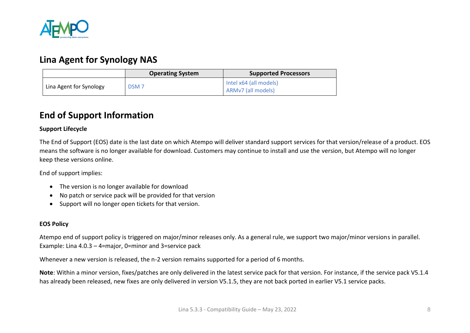

### **Lina Agent for Synology NAS**

|                         | <b>Operating System</b> | <b>Supported Processors</b>                  |
|-------------------------|-------------------------|----------------------------------------------|
| Lina Agent for Synology | DSM <sub>7</sub>        | Intel x64 (all models)<br>ARMv7 (all models) |

## <span id="page-7-0"></span>**End of Support Information**

#### **Support Lifecycle**

The End of Support (EOS) date is the last date on which Atempo will deliver standard support services for that version/release of a product. EOS means the software is no longer available for download. Customers may continue to install and use the version, but Atempo will no longer keep these versions online.

End of support implies:

- The version is no longer available for download
- No patch or service pack will be provided for that version
- Support will no longer open tickets for that version.

#### **EOS Policy**

Atempo end of support policy is triggered on major/minor releases only. As a general rule, we support two major/minor versions in parallel. Example: Lina 4.0.3 – 4=major, 0=minor and 3=service pack

Whenever a new version is released, the n-2 version remains supported for a period of 6 months.

**Note**: Within a minor version, fixes/patches are only delivered in the latest service pack for that version. For instance, if the service pack V5.1.4 has already been released, new fixes are only delivered in version V5.1.5, they are not back ported in earlier V5.1 service packs.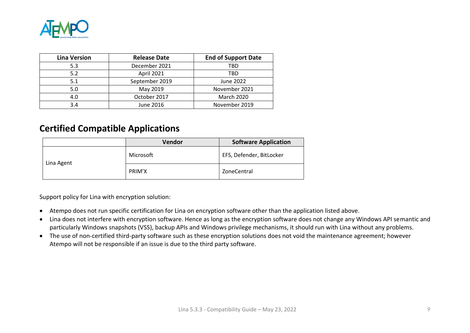

| <b>Lina Version</b> | <b>Release Date</b> | <b>End of Support Date</b> |
|---------------------|---------------------|----------------------------|
| 5.3                 | December 2021       | TBD                        |
| 5.2                 | April 2021          | TBD                        |
| 5.1                 | September 2019      | June 2022                  |
| 5.0                 | May 2019            | November 2021              |
| 4.0                 | October 2017        | <b>March 2020</b>          |
| 3.4                 | June 2016           | November 2019              |

### <span id="page-8-0"></span>**Certified Compatible Applications**

|            | Vendor    | <b>Software Application</b> |
|------------|-----------|-----------------------------|
| Lina Agent | Microsoft | EFS, Defender, BitLocker    |
|            | PRIM'X    | ZoneCentral                 |

Support policy for Lina with encryption solution:

- Atempo does not run specific certification for Lina on encryption software other than the application listed above.
- Lina does not interfere with encryption software. Hence as long as the encryption software does not change any Windows API semantic and particularly Windows snapshots (VSS), backup APIs and Windows privilege mechanisms, it should run with Lina without any problems.
- The use of non-certified third-party software such as these encryption solutions does not void the maintenance agreement; however Atempo will not be responsible if an issue is due to the third party software.